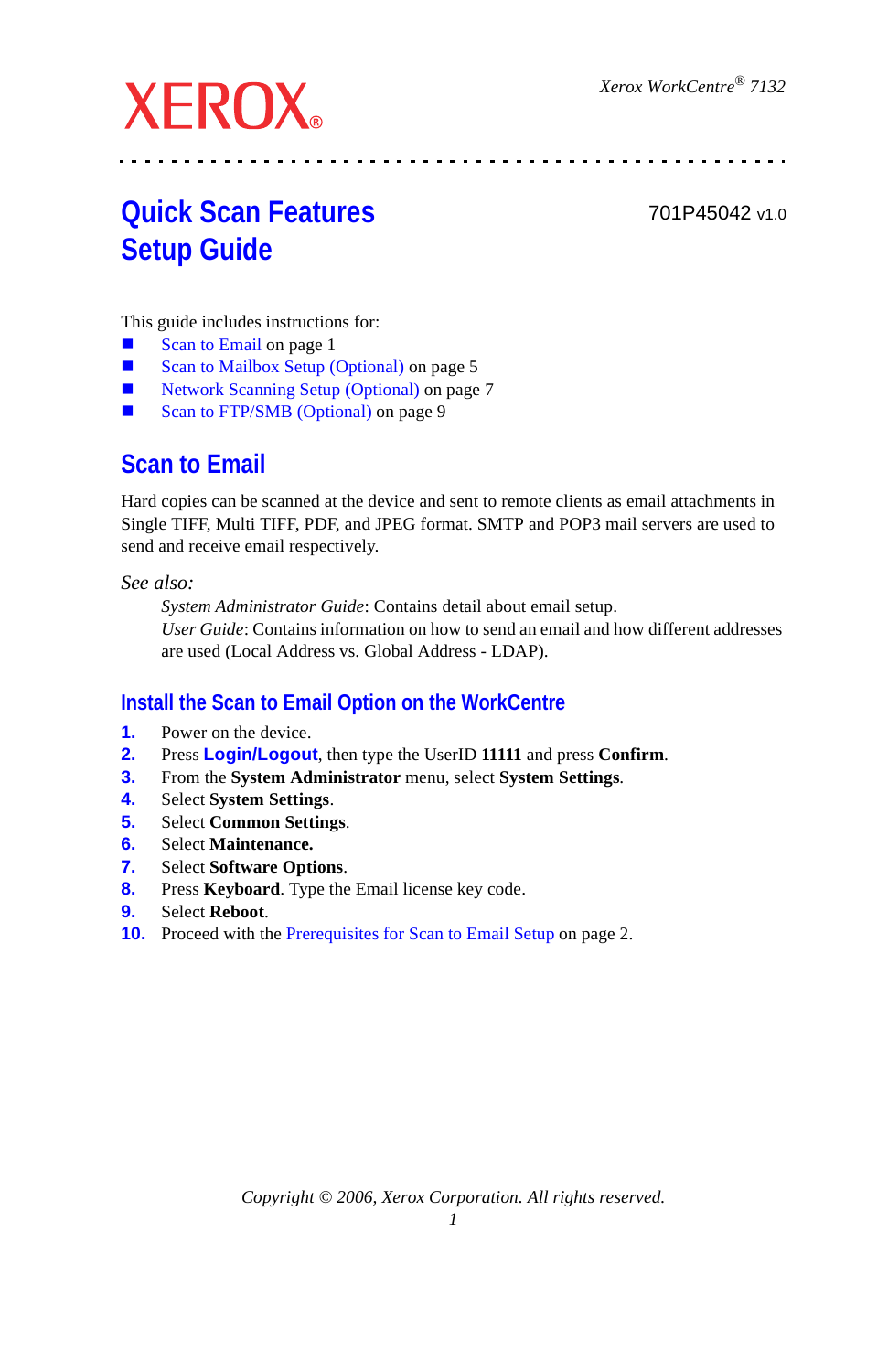# **XEROX**

701P45042 v1.0

# **Quick Scan Features Setup Guide**

This guide includes instructions for:

- [Scan to Email on page 1](#page-0-0)
- [Scan to Mailbox Setup \(Optional\) on page 5](#page-4-0)
- [Network Scanning Setup \(Optional\) on page 7](#page-6-0)
- [Scan to FTP/SMB \(Optional\) on page 9](#page-8-0)

# <span id="page-0-0"></span>**Scan to Email**

Hard copies can be scanned at the device and sent to remote clients as email attachments in Single TIFF, Multi TIFF, PDF, and JPEG format. SMTP and POP3 mail servers are used to send and receive email respectively.

*See also:* 

*System Administrator Guide*: Contains detail about email setup. *User Guide*: Contains information on how to send an email and how different addresses are used (Local Address vs. Global Address - LDAP).

## <span id="page-0-1"></span>**Install the Scan to Email Option on the WorkCentre**

- **1.** Power on the device.
- **2.** Press **Login/Logout**, then type the UserID **11111** and press **Confirm**.
- **3.** From the **System Administrator** menu, select **System Settings**.
- **4.** Select **System Settings**.
- **5.** Select **Common Settings**.
- **6.** Select **Maintenance.**
- **7.** Select **Software Options**.
- **8.** Press **Keyboard**. Type the Email license key code.
- **9.** Select **Reboot**.
- **10.** Proceed with the [Prerequisites for Scan to Email Setup on page 2.](#page-1-0)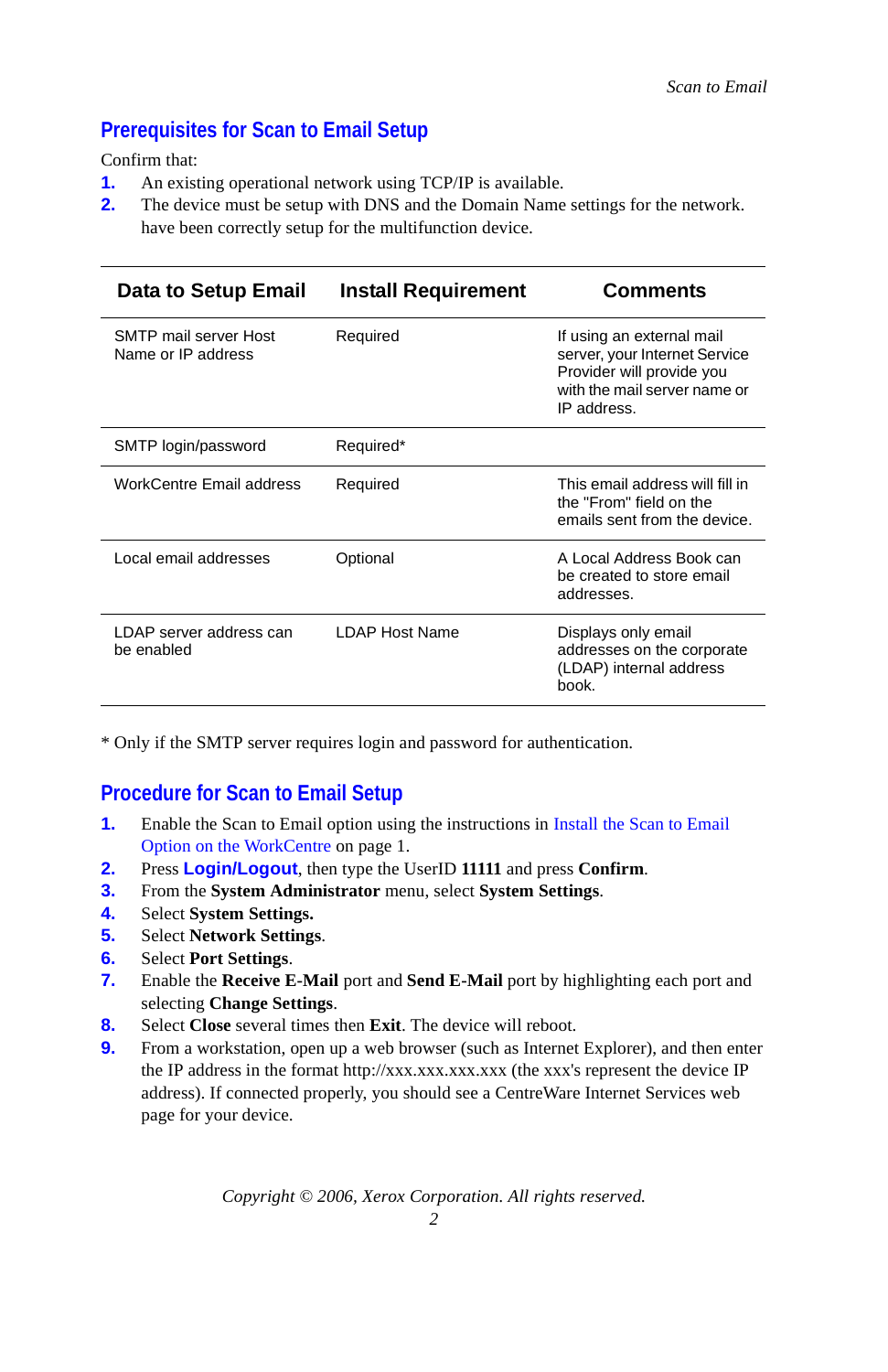## <span id="page-1-0"></span>**Prerequisites for Scan to Email Setup**

Confirm that:

- **1.** An existing operational network using TCP/IP is available.
- **2.** The device must be setup with DNS and the Domain Name settings for the network. have been correctly setup for the multifunction device.

| Data to Setup Email                         | <b>Install Requirement</b> | Comments                                                                                                                               |
|---------------------------------------------|----------------------------|----------------------------------------------------------------------------------------------------------------------------------------|
| SMTP mail server Host<br>Name or IP address | Required                   | If using an external mail<br>server, your Internet Service<br>Provider will provide you<br>with the mail server name or<br>IP address. |
| SMTP login/password                         | Required*                  |                                                                                                                                        |
| WorkCentre Email address                    | Required                   | This email address will fill in<br>the "From" field on the<br>emails sent from the device.                                             |
| Local email addresses                       | Optional                   | A Local Address Book can<br>be created to store email<br>addresses.                                                                    |
| LDAP server address can<br>be enabled       | <b>I DAP Host Name</b>     | Displays only email<br>addresses on the corporate<br>(LDAP) internal address<br>book.                                                  |

\* Only if the SMTP server requires login and password for authentication.

#### **Procedure for Scan to Email Setup**

- **1.** Enable the Scan to Email option using the instructions in Install the Scan to Email [Option on the WorkCentre on page 1.](#page-0-1)
- **2.** Press **Login/Logout**, then type the UserID **11111** and press **Confirm**.
- **3.** From the **System Administrator** menu, select **System Settings**.
- **4.** Select **System Settings.**
- **5.** Select **Network Settings**.
- **6.** Select **Port Settings**.
- **7.** Enable the **Receive E-Mail** port and **Send E-Mail** port by highlighting each port and selecting **Change Settings**.
- **8.** Select **Close** several times then **Exit**. The device will reboot.
- **9.** From a workstation, open up a web browser (such as Internet Explorer), and then enter the IP address in the format http://xxx.xxx.xxx.xxx (the xxx's represent the device IP address). If connected properly, you should see a CentreWare Internet Services web page for your device.

*Copyright © 2006, Xerox Corporation. All rights reserved.*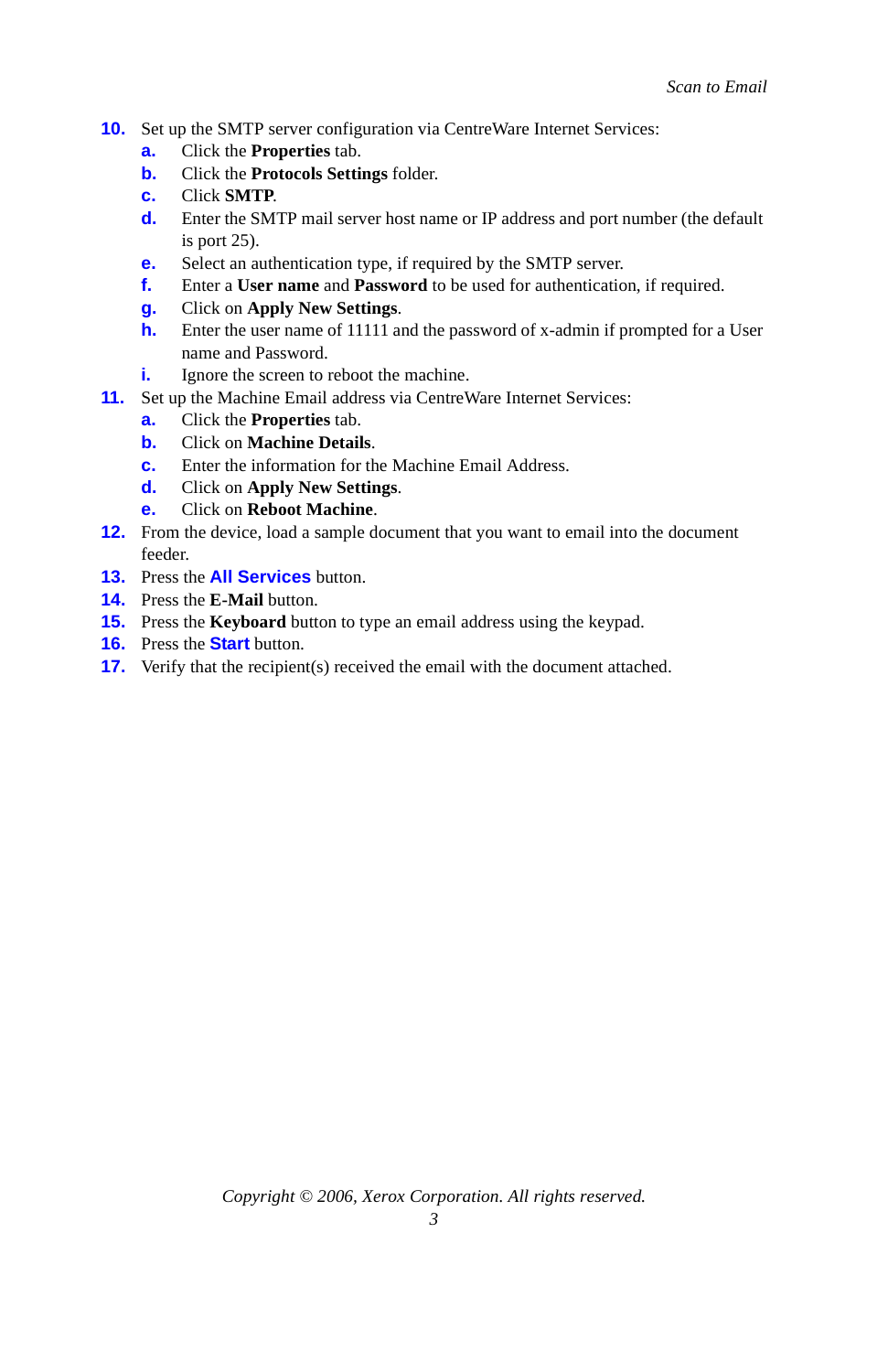- **10.** Set up the SMTP server configuration via CentreWare Internet Services:
	- **a.** Click the **Properties** tab.
	- **b.** Click the **Protocols Settings** folder.
	- **c.** Click **SMTP**.
	- **d.** Enter the SMTP mail server host name or IP address and port number (the default is port 25).
	- **e.** Select an authentication type, if required by the SMTP server.
	- **f.** Enter a **User name** and **Password** to be used for authentication, if required.
	- **g.** Click on **Apply New Settings**.
	- **h.** Enter the user name of 11111 and the password of x-admin if prompted for a User name and Password.
	- **i.** Ignore the screen to reboot the machine.
- **11.** Set up the Machine Email address via CentreWare Internet Services:
	- **a.** Click the **Properties** tab.
	- **b.** Click on **Machine Details**.
	- **c.** Enter the information for the Machine Email Address.
	- **d.** Click on **Apply New Settings**.
	- **e.** Click on **Reboot Machine**.
- **12.** From the device, load a sample document that you want to email into the document feeder.
- **13.** Press the **All Services** button.
- **14.** Press the **E-Mail** button.
- **15.** Press the **Keyboard** button to type an email address using the keypad.
- **16.** Press the **Start** button.
- **17.** Verify that the recipient(s) received the email with the document attached.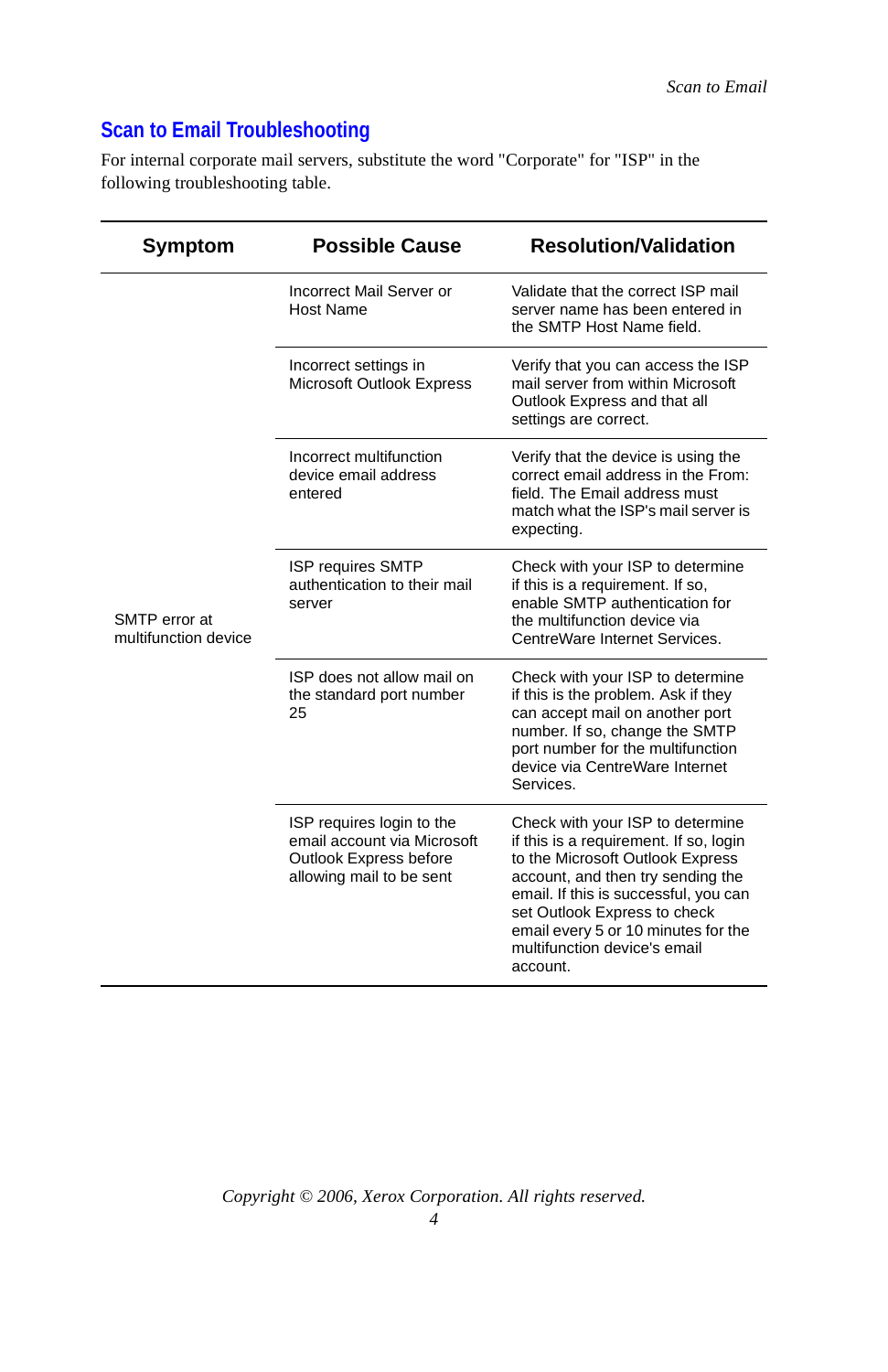## **Scan to Email Troubleshooting**

For internal corporate mail servers, substitute the word "Corporate" for "ISP" in the following troubleshooting table.

| Symptom                               | <b>Possible Cause</b>                                                                                          | <b>Resolution/Validation</b>                                                                                                                                                                                                                                                                                    |
|---------------------------------------|----------------------------------------------------------------------------------------------------------------|-----------------------------------------------------------------------------------------------------------------------------------------------------------------------------------------------------------------------------------------------------------------------------------------------------------------|
| SMTP error at<br>multifunction device | Incorrect Mail Server or<br>Host Name                                                                          | Validate that the correct ISP mail<br>server name has been entered in<br>the SMTP Host Name field.                                                                                                                                                                                                              |
|                                       | Incorrect settings in<br>Microsoft Outlook Express                                                             | Verify that you can access the ISP<br>mail server from within Microsoft<br>Outlook Express and that all<br>settings are correct.                                                                                                                                                                                |
|                                       | Incorrect multifunction<br>device email address<br>entered                                                     | Verify that the device is using the<br>correct email address in the From:<br>field. The Email address must<br>match what the ISP's mail server is<br>expecting.                                                                                                                                                 |
|                                       | <b>ISP requires SMTP</b><br>authentication to their mail<br>server                                             | Check with your ISP to determine<br>if this is a requirement. If so,<br>enable SMTP authentication for<br>the multifunction device via<br>CentreWare Internet Services.                                                                                                                                         |
|                                       | ISP does not allow mail on<br>the standard port number<br>25                                                   | Check with your ISP to determine<br>if this is the problem. Ask if they<br>can accept mail on another port<br>number. If so, change the SMTP<br>port number for the multifunction<br>device via CentreWare Internet<br>Services.                                                                                |
|                                       | ISP requires login to the<br>email account via Microsoft<br>Outlook Express before<br>allowing mail to be sent | Check with your ISP to determine<br>if this is a requirement. If so, login<br>to the Microsoft Outlook Express<br>account, and then try sending the<br>email. If this is successful, you can<br>set Outlook Express to check<br>email every 5 or 10 minutes for the<br>multifunction device's email<br>account. |

*Copyright © 2006, Xerox Corporation. All rights reserved.*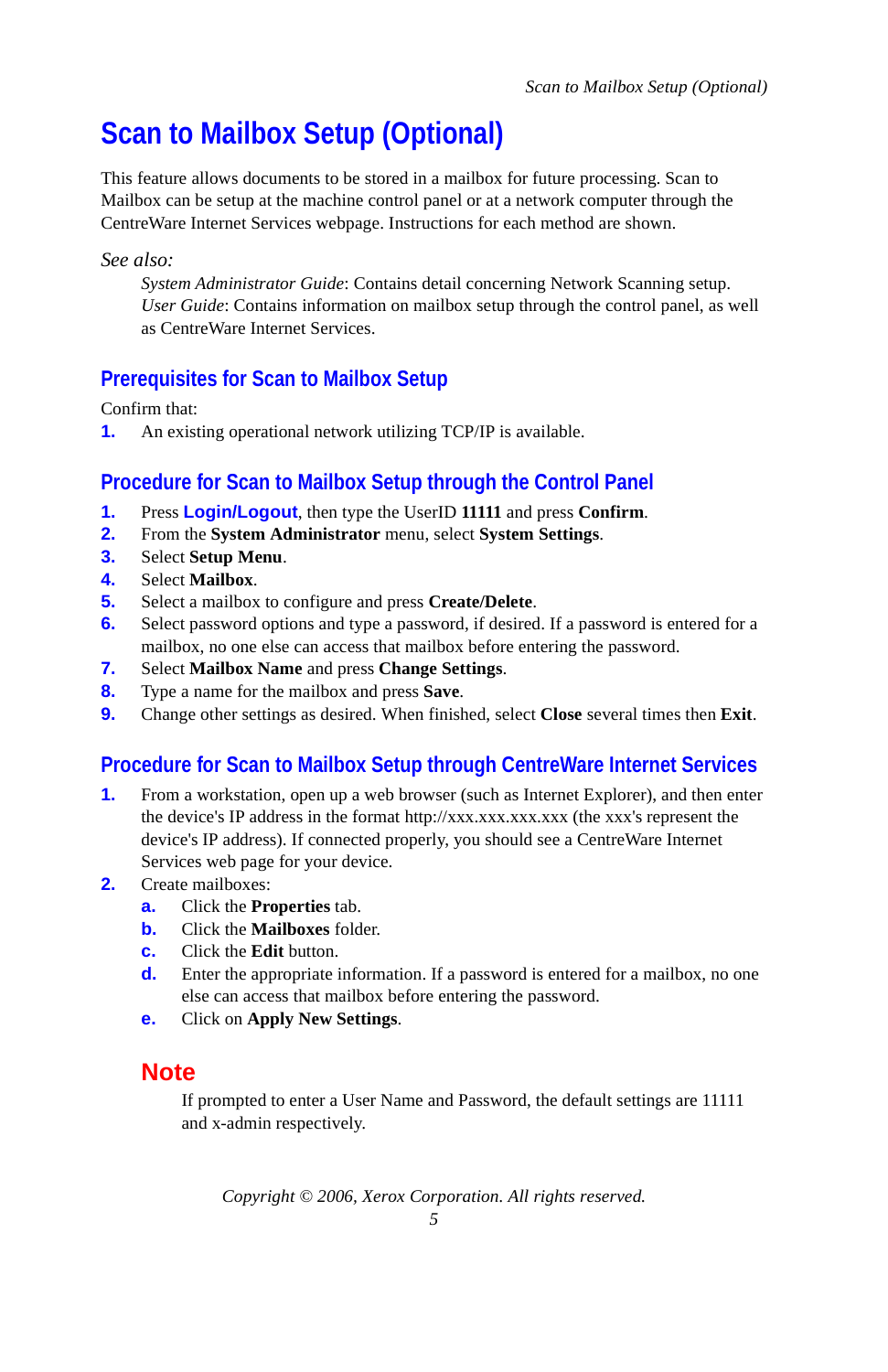# <span id="page-4-0"></span>**Scan to Mailbox Setup (Optional)**

This feature allows documents to be stored in a mailbox for future processing. Scan to Mailbox can be setup at the machine control panel or at a network computer through the CentreWare Internet Services webpage. Instructions for each method are shown.

#### *See also:*

*System Administrator Guide*: Contains detail concerning Network Scanning setup. *User Guide*: Contains information on mailbox setup through the control panel, as well as CentreWare Internet Services.

#### **Prerequisites for Scan to Mailbox Setup**

Confirm that:

**1.** An existing operational network utilizing TCP/IP is available.

#### **Procedure for Scan to Mailbox Setup through the Control Panel**

- **1.** Press **Login/Logout**, then type the UserID **11111** and press **Confirm**.
- **2.** From the **System Administrator** menu, select **System Settings**.
- **3.** Select **Setup Menu**.
- **4.** Select **Mailbox**.
- **5.** Select a mailbox to configure and press **Create/Delete**.
- **6.** Select password options and type a password, if desired. If a password is entered for a mailbox, no one else can access that mailbox before entering the password.
- **7.** Select **Mailbox Name** and press **Change Settings**.
- **8.** Type a name for the mailbox and press **Save**.
- **9.** Change other settings as desired. When finished, select **Close** several times then **Exit**.

## **Procedure for Scan to Mailbox Setup through CentreWare Internet Services**

- **1.** From a workstation, open up a web browser (such as Internet Explorer), and then enter the device's IP address in the format http://xxx.xxx.xxx.xxx (the xxx's represent the device's IP address). If connected properly, you should see a CentreWare Internet Services web page for your device.
- **2.** Create mailboxes:
	- **a.** Click the **Properties** tab.
	- **b.** Click the **Mailboxes** folder.
	- **c.** Click the **Edit** button.
	- **d.** Enter the appropriate information. If a password is entered for a mailbox, no one else can access that mailbox before entering the password.
	- **e.** Click on **Apply New Settings**.

#### **Note**

If prompted to enter a User Name and Password, the default settings are 11111 and x-admin respectively.

*Copyright © 2006, Xerox Corporation. All rights reserved.*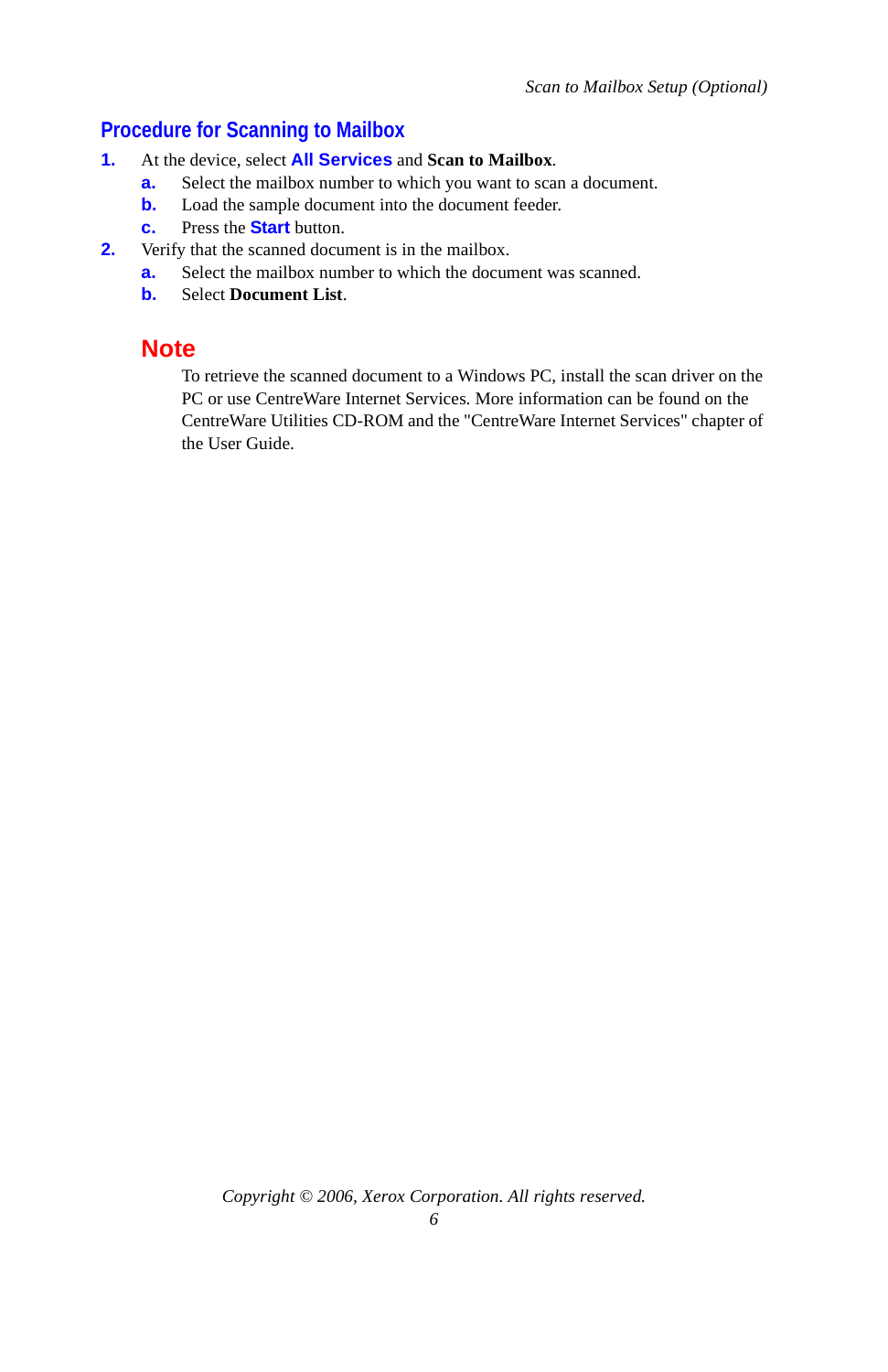## **Procedure for Scanning to Mailbox**

- **1.** At the device, select **All Services** and **Scan to Mailbox**.
	- **a.** Select the mailbox number to which you want to scan a document.
	- **b.** Load the sample document into the document feeder.
	- **c.** Press the **Start** button.
- **2.** Verify that the scanned document is in the mailbox.
	- **a.** Select the mailbox number to which the document was scanned.
		- **b.** Select **Document List**.

### **Note**

To retrieve the scanned document to a Windows PC, install the scan driver on the PC or use CentreWare Internet Services. More information can be found on the CentreWare Utilities CD-ROM and the "CentreWare Internet Services" chapter of the User Guide.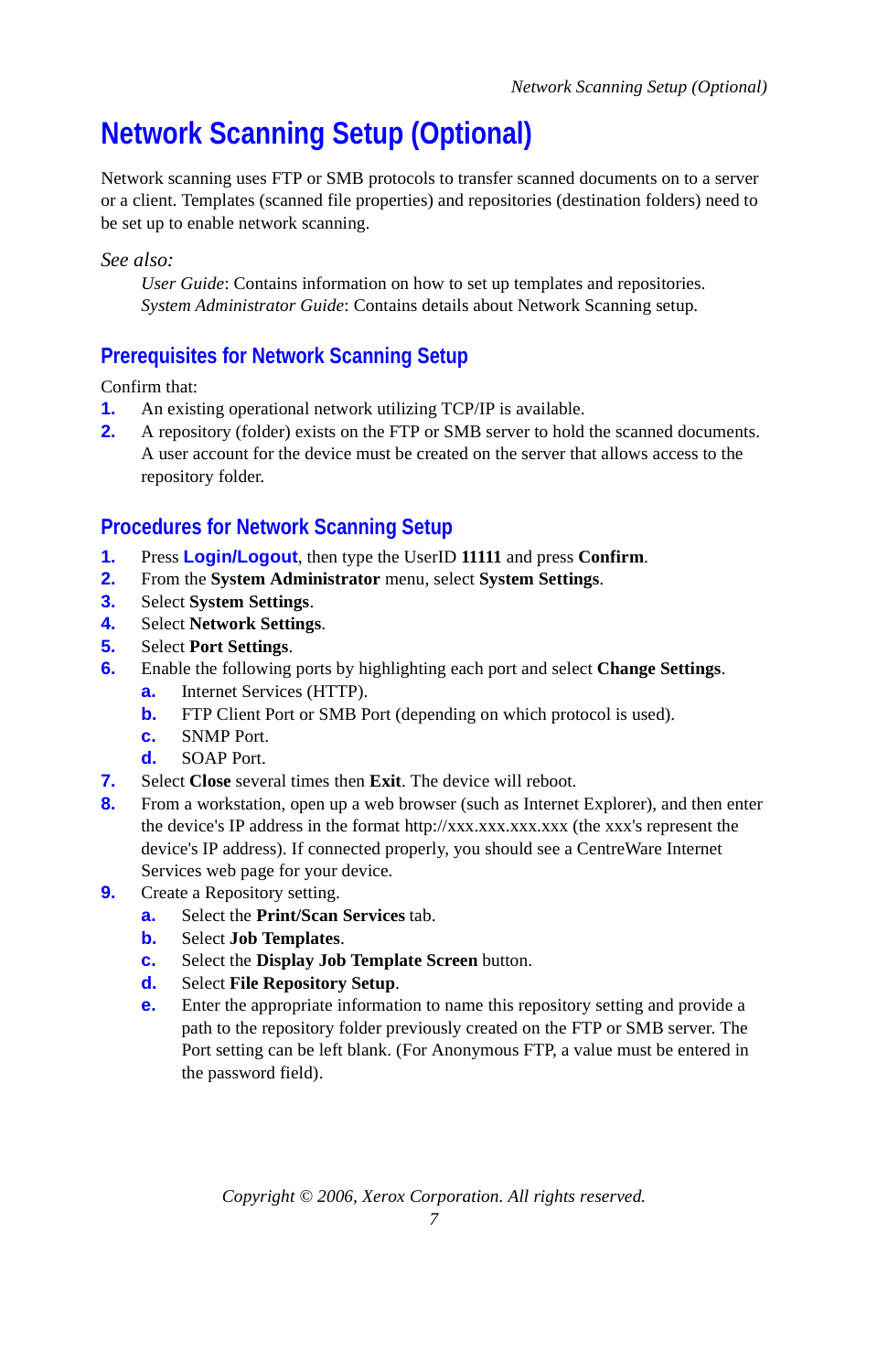# <span id="page-6-0"></span>**Network Scanning Setup (Optional)**

Network scanning uses FTP or SMB protocols to transfer scanned documents on to a server or a client. Templates (scanned file properties) and repositories (destination folders) need to be set up to enable network scanning.

*See also:* 

*User Guide*: Contains information on how to set up templates and repositories. *System Administrator Guide*: Contains details about Network Scanning setup.

## **Prerequisites for Network Scanning Setup**

Confirm that:

- **1.** An existing operational network utilizing TCP/IP is available.
- **2.** A repository (folder) exists on the FTP or SMB server to hold the scanned documents. A user account for the device must be created on the server that allows access to the repository folder.

## **Procedures for Network Scanning Setup**

- **1.** Press **Login/Logout**, then type the UserID **11111** and press **Confirm**.
- **2.** From the **System Administrator** menu, select **System Settings**.
- **3.** Select **System Settings**.
- **4.** Select **Network Settings**.
- **5.** Select **Port Settings**.
- **6.** Enable the following ports by highlighting each port and select **Change Settings**.
	- **a.** Internet Services (HTTP).
	- **b.** FTP Client Port or SMB Port (depending on which protocol is used).
	- **c.** SNMP Port.
	- **d.** SOAP Port.
- **7.** Select **Close** several times then **Exit**. The device will reboot.
- **8.** From a workstation, open up a web browser (such as Internet Explorer), and then enter the device's IP address in the format http://xxx.xxx.xxx.xxx (the xxx's represent the device's IP address). If connected properly, you should see a CentreWare Internet Services web page for your device.
- **9.** Create a Repository setting.
	- **a.** Select the **Print/Scan Services** tab.
	- **b.** Select **Job Templates**.
	- **c.** Select the **Display Job Template Screen** button.
	- **d.** Select **File Repository Setup**.
	- **e.** Enter the appropriate information to name this repository setting and provide a path to the repository folder previously created on the FTP or SMB server. The Port setting can be left blank. (For Anonymous FTP, a value must be entered in the password field).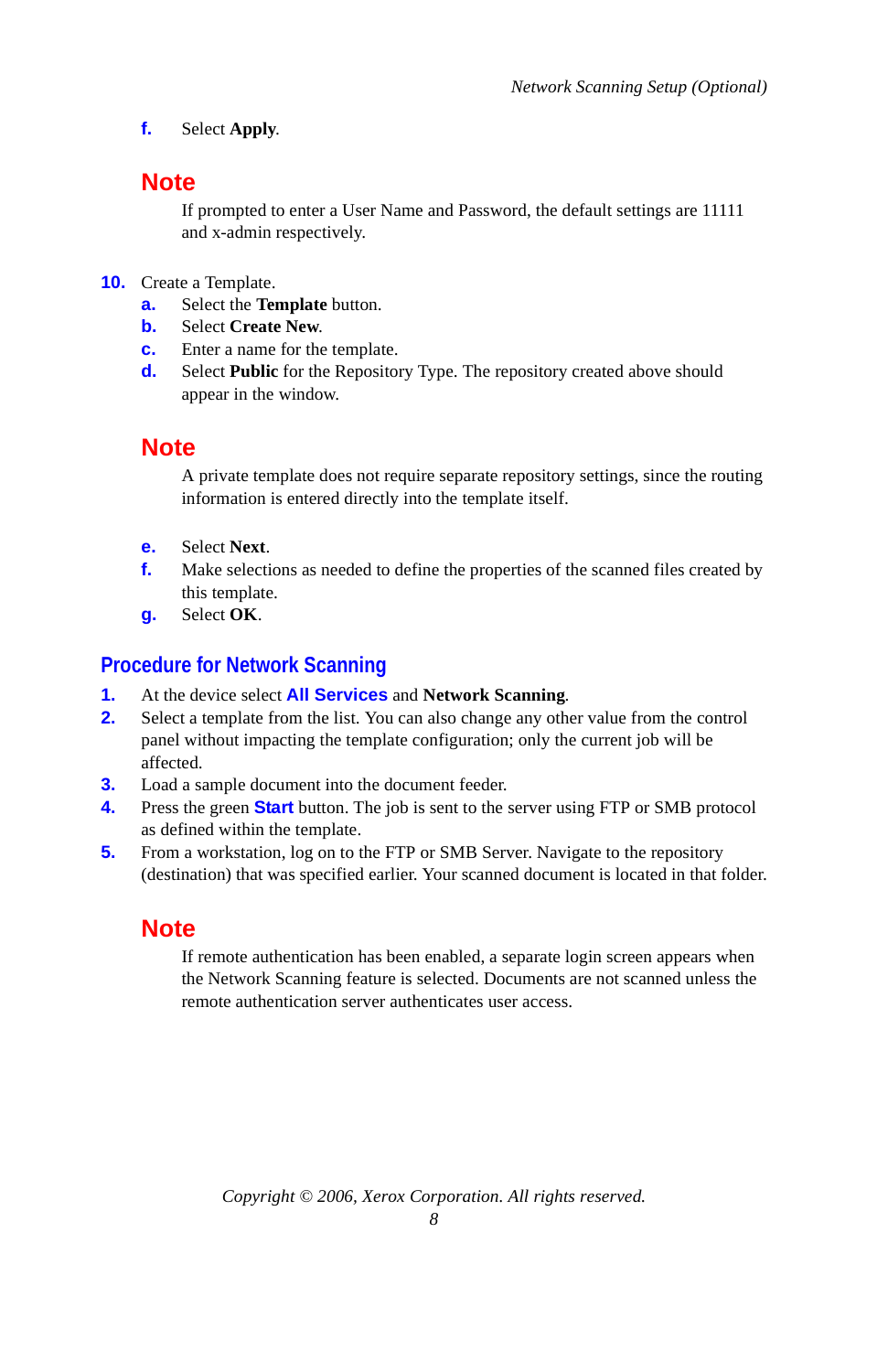**f.** Select **Apply**.

#### **Note**

If prompted to enter a User Name and Password, the default settings are 11111 and x-admin respectively.

- **10.** Create a Template.
	- **a.** Select the **Template** button.
	- **b.** Select **Create New**.
	- **c.** Enter a name for the template.
	- **d.** Select **Public** for the Repository Type. The repository created above should appear in the window.

## **Note**

A private template does not require separate repository settings, since the routing information is entered directly into the template itself.

- **e.** Select **Next**.
- **f.** Make selections as needed to define the properties of the scanned files created by this template.
- **g.** Select **OK**.

#### **Procedure for Network Scanning**

- **1.** At the device select **All Services** and **Network Scanning**.
- **2.** Select a template from the list. You can also change any other value from the control panel without impacting the template configuration; only the current job will be affected.
- **3.** Load a sample document into the document feeder.
- **4.** Press the green **Start** button. The job is sent to the server using FTP or SMB protocol as defined within the template.
- **5.** From a workstation, log on to the FTP or SMB Server. Navigate to the repository (destination) that was specified earlier. Your scanned document is located in that folder.

## **Note**

If remote authentication has been enabled, a separate login screen appears when the Network Scanning feature is selected. Documents are not scanned unless the remote authentication server authenticates user access.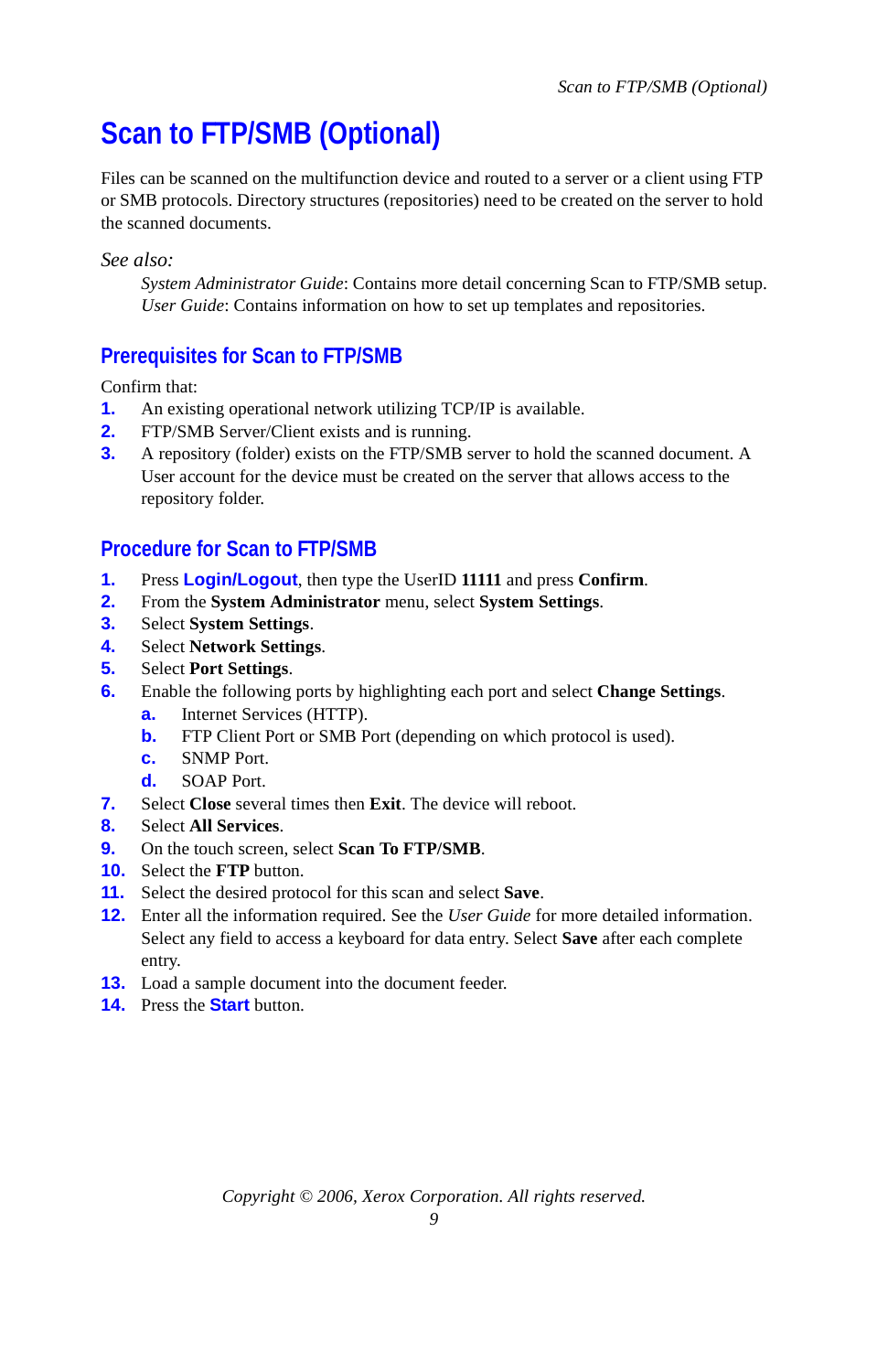# <span id="page-8-0"></span>**Scan to FTP/SMB (Optional)**

Files can be scanned on the multifunction device and routed to a server or a client using FTP or SMB protocols. Directory structures (repositories) need to be created on the server to hold the scanned documents.

*See also:* 

*System Administrator Guide*: Contains more detail concerning Scan to FTP/SMB setup. *User Guide*: Contains information on how to set up templates and repositories.

## **Prerequisites for Scan to FTP/SMB**

Confirm that:

- **1.** An existing operational network utilizing TCP/IP is available.
- **2.** FTP/SMB Server/Client exists and is running.
- **3.** A repository (folder) exists on the FTP/SMB server to hold the scanned document. A User account for the device must be created on the server that allows access to the repository folder.

#### **Procedure for Scan to FTP/SMB**

- **1.** Press **Login/Logout**, then type the UserID **11111** and press **Confirm**.
- **2.** From the **System Administrator** menu, select **System Settings**.
- **3.** Select **System Settings**.
- **4.** Select **Network Settings**.
- **5.** Select **Port Settings**.
- **6.** Enable the following ports by highlighting each port and select **Change Settings**.
	- **a.** Internet Services (HTTP).
	- **b.** FTP Client Port or SMB Port (depending on which protocol is used).
	- **c.** SNMP Port.
	- **d.** SOAP Port.
- **7.** Select **Close** several times then **Exit**. The device will reboot.
- **8.** Select **All Services**.
- **9.** On the touch screen, select **Scan To FTP/SMB**.
- **10.** Select the **FTP** button.
- **11.** Select the desired protocol for this scan and select **Save**.
- **12.** Enter all the information required. See the *User Guide* for more detailed information. Select any field to access a keyboard for data entry. Select **Save** after each complete entry.
- **13.** Load a sample document into the document feeder.
- **14.** Press the **Start** button.